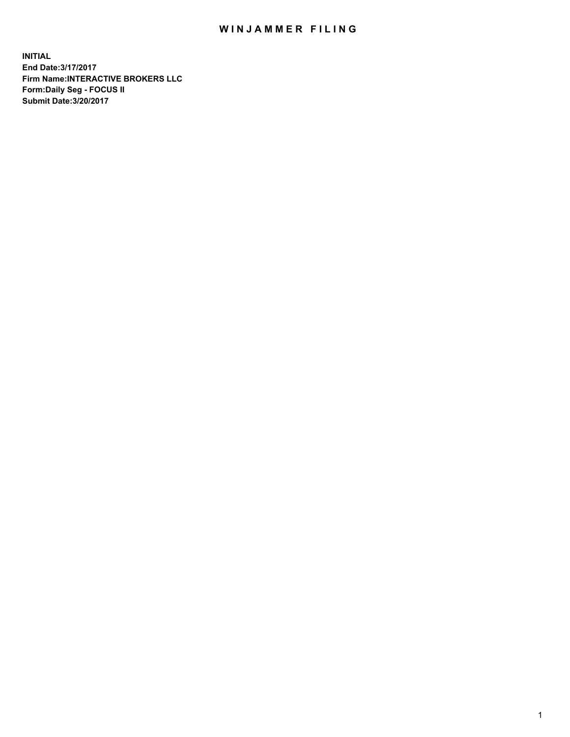## WIN JAMMER FILING

**INITIAL End Date:3/17/2017 Firm Name:INTERACTIVE BROKERS LLC Form:Daily Seg - FOCUS II Submit Date:3/20/2017**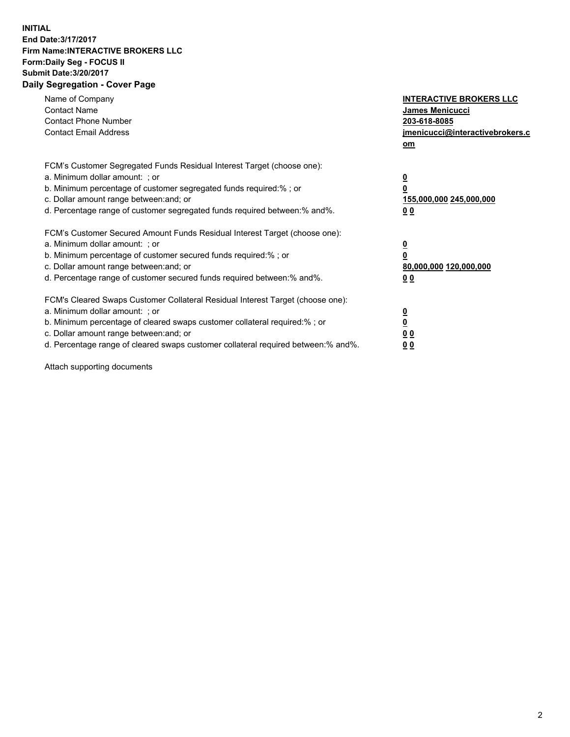## **INITIAL End Date:3/17/2017 Firm Name:INTERACTIVE BROKERS LLC Form:Daily Seg - FOCUS II Submit Date:3/20/2017 Daily Segregation - Cover Page**

| Name of Company<br><b>Contact Name</b><br><b>Contact Phone Number</b><br><b>Contact Email Address</b>                                                                                                                                                                                                                          | <b>INTERACTIVE BROKERS LLC</b><br><b>James Menicucci</b><br>203-618-8085<br>jmenicucci@interactivebrokers.c<br>om |
|--------------------------------------------------------------------------------------------------------------------------------------------------------------------------------------------------------------------------------------------------------------------------------------------------------------------------------|-------------------------------------------------------------------------------------------------------------------|
| FCM's Customer Segregated Funds Residual Interest Target (choose one):<br>a. Minimum dollar amount: ; or<br>b. Minimum percentage of customer segregated funds required:%; or<br>c. Dollar amount range between: and; or<br>d. Percentage range of customer segregated funds required between:% and%.                          | $\overline{\mathbf{0}}$<br>0<br>155,000,000 245,000,000<br>0 <sub>0</sub>                                         |
| FCM's Customer Secured Amount Funds Residual Interest Target (choose one):<br>a. Minimum dollar amount: ; or<br>b. Minimum percentage of customer secured funds required:%; or<br>c. Dollar amount range between: and; or<br>d. Percentage range of customer secured funds required between: % and %.                          | $\overline{\mathbf{0}}$<br>0<br>80,000,000 120,000,000<br>00                                                      |
| FCM's Cleared Swaps Customer Collateral Residual Interest Target (choose one):<br>a. Minimum dollar amount: ; or<br>b. Minimum percentage of cleared swaps customer collateral required:% ; or<br>c. Dollar amount range between: and; or<br>d. Percentage range of cleared swaps customer collateral required between:% and%. | $\overline{\mathbf{0}}$<br>$\overline{\mathbf{0}}$<br>0 <sub>0</sub><br><u>00</u>                                 |

Attach supporting documents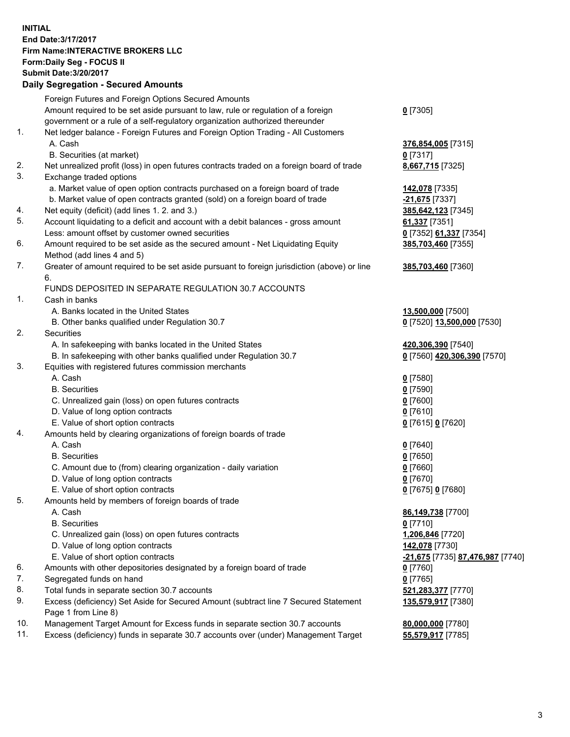## **INITIAL End Date:3/17/2017 Firm Name:INTERACTIVE BROKERS LLC Form:Daily Seg - FOCUS II Submit Date:3/20/2017 Daily Segregation - Secured Amounts**

|     | Dany Ocgregation - Oceanea Annoante                                                         |                                  |
|-----|---------------------------------------------------------------------------------------------|----------------------------------|
|     | Foreign Futures and Foreign Options Secured Amounts                                         |                                  |
|     | Amount required to be set aside pursuant to law, rule or regulation of a foreign            | $0$ [7305]                       |
|     | government or a rule of a self-regulatory organization authorized thereunder                |                                  |
| 1.  | Net ledger balance - Foreign Futures and Foreign Option Trading - All Customers             |                                  |
|     | A. Cash                                                                                     | 376,854,005 [7315]               |
|     | B. Securities (at market)                                                                   | 0 [7317]                         |
| 2.  | Net unrealized profit (loss) in open futures contracts traded on a foreign board of trade   | 8,667,715 [7325]                 |
| 3.  | Exchange traded options                                                                     |                                  |
|     | a. Market value of open option contracts purchased on a foreign board of trade              | 142,078 [7335]                   |
|     | b. Market value of open contracts granted (sold) on a foreign board of trade                | -21,675 <sup>[7337]</sup>        |
| 4.  | Net equity (deficit) (add lines 1.2. and 3.)                                                | 385,642,123 [7345]               |
| 5.  | Account liquidating to a deficit and account with a debit balances - gross amount           | 61,337 [7351]                    |
|     | Less: amount offset by customer owned securities                                            | 0 [7352] 61,337 [7354]           |
| 6.  | Amount required to be set aside as the secured amount - Net Liquidating Equity              | 385,703,460 [7355]               |
|     |                                                                                             |                                  |
|     | Method (add lines 4 and 5)                                                                  |                                  |
| 7.  | Greater of amount required to be set aside pursuant to foreign jurisdiction (above) or line | 385,703,460 [7360]               |
|     | 6.                                                                                          |                                  |
|     | FUNDS DEPOSITED IN SEPARATE REGULATION 30.7 ACCOUNTS                                        |                                  |
| 1.  | Cash in banks                                                                               |                                  |
|     | A. Banks located in the United States                                                       | 13,500,000 [7500]                |
|     | B. Other banks qualified under Regulation 30.7                                              | 0 [7520] 13,500,000 [7530]       |
| 2.  | <b>Securities</b>                                                                           |                                  |
|     | A. In safekeeping with banks located in the United States                                   | 420,306,390 [7540]               |
|     | B. In safekeeping with other banks qualified under Regulation 30.7                          | 0 [7560] 420,306,390 [7570]      |
| 3.  | Equities with registered futures commission merchants                                       |                                  |
|     | A. Cash                                                                                     | $0$ [7580]                       |
|     | <b>B.</b> Securities                                                                        | $0$ [7590]                       |
|     | C. Unrealized gain (loss) on open futures contracts                                         | $0$ [7600]                       |
|     | D. Value of long option contracts                                                           | $0$ [7610]                       |
|     | E. Value of short option contracts                                                          | 0 [7615] 0 [7620]                |
| 4.  | Amounts held by clearing organizations of foreign boards of trade                           |                                  |
|     | A. Cash                                                                                     | $0$ [7640]                       |
|     | <b>B.</b> Securities                                                                        | $0$ [7650]                       |
|     | C. Amount due to (from) clearing organization - daily variation                             | $0$ [7660]                       |
|     | D. Value of long option contracts                                                           | $0$ [7670]                       |
|     | E. Value of short option contracts                                                          | 0 [7675] 0 [7680]                |
| 5.  | Amounts held by members of foreign boards of trade                                          |                                  |
|     | A. Cash                                                                                     | 86,149,738 [7700]                |
|     | <b>B.</b> Securities                                                                        | $0$ [7710]                       |
|     | C. Unrealized gain (loss) on open futures contracts                                         | 1,206,846 [7720]                 |
|     | D. Value of long option contracts                                                           | 142,078 [7730]                   |
|     | E. Value of short option contracts                                                          | -21,675 [7735] 87,476,987 [7740] |
| 6.  | Amounts with other depositories designated by a foreign board of trade                      | $0$ [7760]                       |
| 7.  | Segregated funds on hand                                                                    | $0$ [7765]                       |
| 8.  | Total funds in separate section 30.7 accounts                                               | 521,283,377 [7770]               |
| 9.  | Excess (deficiency) Set Aside for Secured Amount (subtract line 7 Secured Statement         | 135,579,917 [7380]               |
|     | Page 1 from Line 8)                                                                         |                                  |
| 10. | Management Target Amount for Excess funds in separate section 30.7 accounts                 | 80,000,000 [7780]                |
| 11. | Excess (deficiency) funds in separate 30.7 accounts over (under) Management Target          | 55,579,917 [7785]                |
|     |                                                                                             |                                  |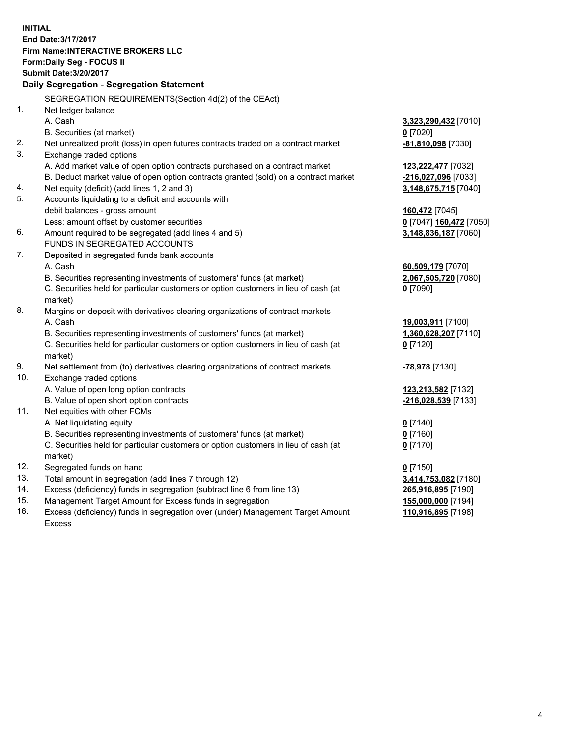**INITIAL End Date:3/17/2017 Firm Name:INTERACTIVE BROKERS LLC Form:Daily Seg - FOCUS II Submit Date:3/20/2017 Daily Segregation - Segregation Statement** SEGREGATION REQUIREMENTS(Section 4d(2) of the CEAct) 1. Net ledger balance A. Cash **3,323,290,432** [7010] B. Securities (at market) **0** [7020] 2. Net unrealized profit (loss) in open futures contracts traded on a contract market **-81,810,098** [7030] 3. Exchange traded options A. Add market value of open option contracts purchased on a contract market **123,222,477** [7032] B. Deduct market value of open option contracts granted (sold) on a contract market **-216,027,096** [7033] 4. Net equity (deficit) (add lines 1, 2 and 3) **3,148,675,715** [7040] 5. Accounts liquidating to a deficit and accounts with debit balances - gross amount **160,472** [7045] Less: amount offset by customer securities **0** [7047] **160,472** [7050] 6. Amount required to be segregated (add lines 4 and 5) **3,148,836,187** [7060] FUNDS IN SEGREGATED ACCOUNTS 7. Deposited in segregated funds bank accounts A. Cash **60,509,179** [7070] B. Securities representing investments of customers' funds (at market) **2,067,505,720** [7080] C. Securities held for particular customers or option customers in lieu of cash (at market) **0** [7090] 8. Margins on deposit with derivatives clearing organizations of contract markets A. Cash **19,003,911** [7100] B. Securities representing investments of customers' funds (at market) **1,360,628,207** [7110] C. Securities held for particular customers or option customers in lieu of cash (at market) **0** [7120] 9. Net settlement from (to) derivatives clearing organizations of contract markets **-78,978** [7130] 10. Exchange traded options A. Value of open long option contracts **123,213,582** [7132] B. Value of open short option contracts **-216,028,539** [7133] 11. Net equities with other FCMs A. Net liquidating equity **0** [7140] B. Securities representing investments of customers' funds (at market) **0** [7160] C. Securities held for particular customers or option customers in lieu of cash (at market) **0** [7170] 12. Segregated funds on hand **0** [7150] 13. Total amount in segregation (add lines 7 through 12) **3,414,753,082** [7180] 14. Excess (deficiency) funds in segregation (subtract line 6 from line 13) **265,916,895** [7190] 15. Management Target Amount for Excess funds in segregation **155,000,000** [7194] 16. Excess (deficiency) funds in segregation over (under) Management Target Amount **110,916,895** [7198]

Excess